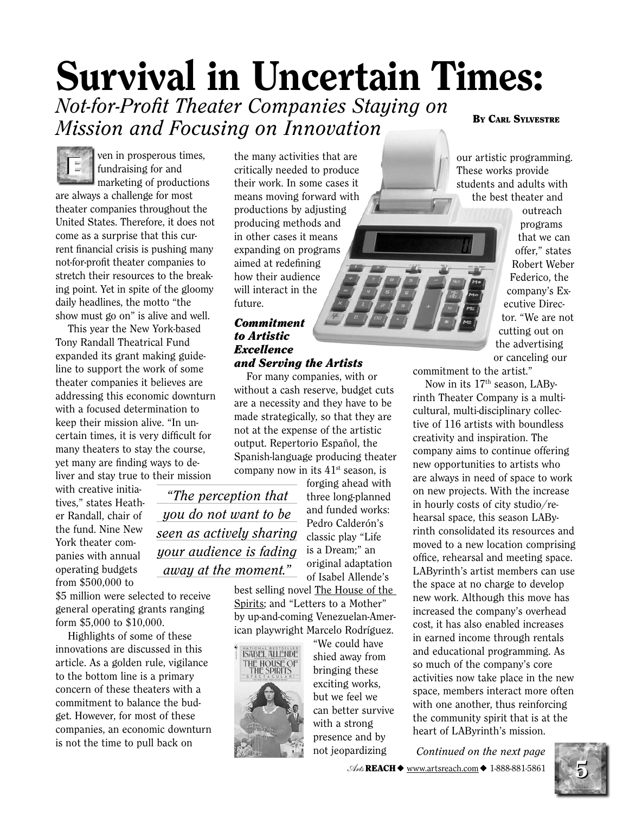# **Survival in Uncertain Times:** Not-for-Profit Theater Companies Staying on

Mission and Focusing on Innovation

fundraising for and marketing of productions are always a challenge for most theater companies throughout the United States. Therefore, it does not come as a surprise that this current financial crisis is pushing many not-for-profit theater companies to stretch their resources to the breaking point. Yet in spite of the gloomy daily headlines, the motto "the show must go on" is alive and well.

ven in prosperous times,

This year the New York-based Tony Randall Theatrical Fund expanded its grant making guideline to support the work of some theater companies it believes are addressing this economic downturn with a focused determination to keep their mission alive. "In uncertain times, it is very difficult for many theaters to stay the course, yet many are finding ways to deliver and stay true to their mission

with creative initiatives," states Heather Randall, chair of the fund. Nine New York theater companies with annual operating budgets from  $$500,000$  to

\$5 million were selected to receive general operating grants ranging form \$5,000 to \$10,000.

Highlights of some of these innovations are discussed in this article. As a golden rule, vigilance to the bottom line is a primary concern of these theaters with a commitment to balance the budget. However, for most of these companies, an economic downturn is not the time to pull back on

the many activities that are critically needed to produce their work. In some cases it means moving forward with productions by adjusting producing methods and in other cases it means expanding on programs aimed at redefining how their audience will interact in the future.

#### **Commitment** to Artistic **Excellence** and Serving the Artists

For many companies, with or without a cash reserve, budget cuts are a necessity and they have to be made strategically, so that they are not at the expense of the artistic output. Repertorio Español, the Spanish-language producing theater company now in its  $41<sup>st</sup>$  season, is

"The perception that you do not want to be seen as actively sharing your audience is fading away at the moment."

original adaptation of Isabel Allende's best selling novel The House of the Spirits; and "Letters to a Mother" by up-and-coming Venezuelan-American playwright Marcelo Rodríguez.



"We could have shied away from bringing these exciting works, but we feel we can better survive with a strong presence and by not jeopardizing

forging ahead with

three long-planned

and funded works:

Pedro Calderón's

classic play "Life

is a Dream;" an

**BY CARL SYLVESTRE** 

our artistic programming. These works provide students and adults with the best theater and

> outreach programs that we can offer," states Robert Weber Federico, the company's Executive Director. "We are not cutting out on the advertising or canceling our

commitment to the artist."

Now in its 17<sup>th</sup> season, LAByrinth Theater Company is a multicultural, multi-disciplinary collective of 116 artists with boundless creativity and inspiration. The company aims to continue offering new opportunities to artists who are always in need of space to work on new projects. With the increase in hourly costs of city studio/rehearsal space, this season LAByrinth consolidated its resources and moved to a new location comprising office, rehearsal and meeting space. LAByrinth's artist members can use the space at no charge to develop new work. Although this move has increased the company's overhead cost, it has also enabled increases in earned income through rentals and educational programming. As so much of the company's core activities now take place in the new space, members interact more often with one another, thus reinforcing the community spirit that is at the heart of LAByrinth's mission.

Continued on the next page  $\mathcal{A}_{\mathcal{M}}$  REACH  $\blacklozenge$  www.artsreach.com  $\blacklozenge$  1-888-881-5861

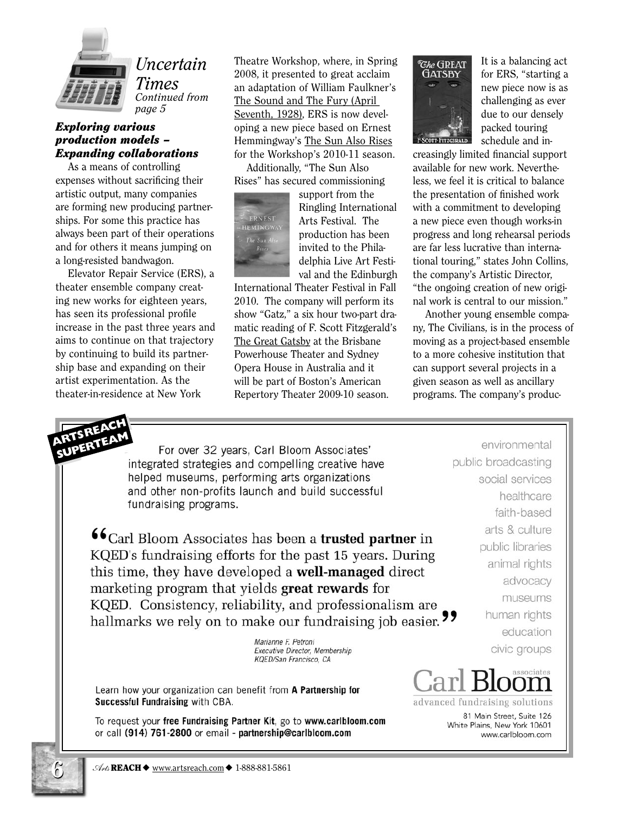

### *Uncertain* Times

Continued from page 5

### **Exploring various** production models -**Expanding collaborations**

As a means of controlling expenses without sacrificing their artistic output, many companies are forming new producing partnerships. For some this practice has always been part of their operations and for others it means jumping on a long-resisted bandwagon.

Elevator Repair Service (ERS), a theater ensemble company creating new works for eighteen years, has seen its professional profile increase in the past three years and aims to continue on that trajectory by continuing to build its partnership base and expanding on their artist experimentation. As the theater-in-residence at New York

Theatre Workshop, where, in Spring 2008, it presented to great acclaim an adaptation of William Faulkner's The Sound and The Fury (April Seventh, 1928), ERS is now developing a new piece based on Ernest Hemmingway's The Sun Also Rises for the Workshop's 2010-11 season.

Additionally, "The Sun Also Rises" has secured commissioning



support from the Ringling International Arts Festival. The production has been invited to the Philadelphia Live Art Festival and the Edinburgh

International Theater Festival in Fall 2010. The company will perform its show "Gatz," a six hour two-part dramatic reading of F. Scott Fitzgerald's The Great Gatsby at the Brisbane Powerhouse Theater and Sydney Opera House in Australia and it will be part of Boston's American Repertory Theater 2009-10 season.



It is a balancing act for ERS, "starting a new piece now is as challenging as ever due to our densely packed touring schedule and in-

creasingly limited financial support available for new work. Nevertheless, we feel it is critical to balance the presentation of finished work with a commitment to developing a new piece even though works-in progress and long rehearsal periods are far less lucrative than international touring," states John Collins, the company's Artistic Director, "the ongoing creation of new original work is central to our mission."

Another young ensemble company, The Civilians, is in the process of moving as a project-based ensemble to a more cohesive institution that can support several projects in a given season as well as ancillary programs. The company's produc-

For over 32 years, Carl Bloom Associates' integrated strategies and compelling creative have helped museums, performing arts organizations and other non-profits launch and build successful fundraising programs.

 $\mathbf{66}_\text{Carl Bloom}$  Associates has been a trusted partner in KQED's fundraising efforts for the past 15 years. During this time, they have developed a **well-managed** direct marketing program that yields great rewards for KQED. Consistency, reliability, and professionalism are hallmarks we rely on to make our fundraising job easier. "

> Marianne F. Petroni Executive Director, Membership KQED/San Francisco, CA

Learn how your organization can benefit from A Partnership for Successful Fundraising with CBA.

To request your free Fundraising Partner Kit, go to www.carlbloom.com or call (914) 761-2800 or email - partnership@carlbloom.com

environmental public broadcasting social services healthcare faith-based arts & culture public libraries animal rights advocacy museums human rights education civic groups



advanced fundraising solutions

81 Main Street, Suite 126 White Plains, New York 10601 www.carlbloom.com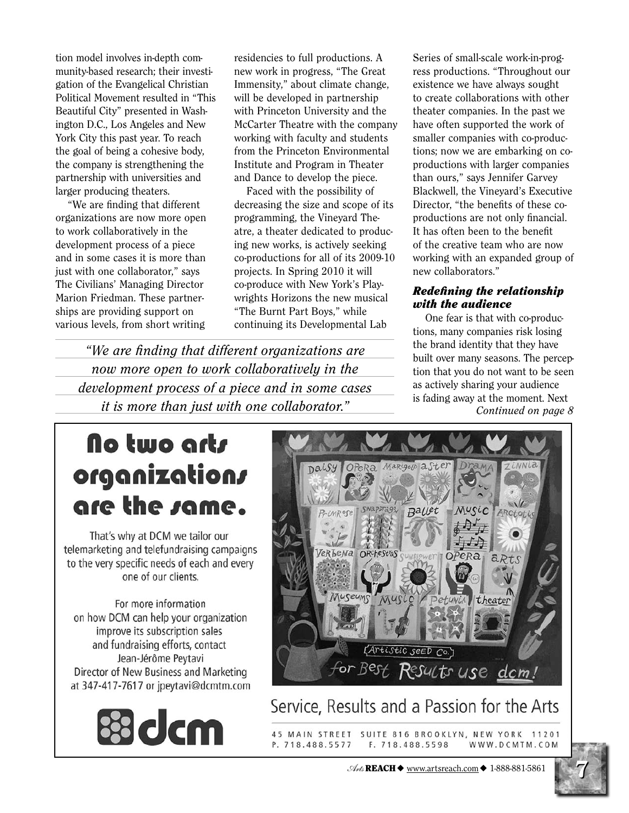tion model involves in-depth community-based research; their investigation of the Evangelical Christian Political Movement resulted in "This Beautiful City" presented in Washington D.C., Los Angeles and New York City this past year. To reach the goal of being a cohesive body, the company is strengthening the partnership with universities and larger producing theaters.

"We are finding that different organizations are now more open to work collaboratively in the development process of a piece and in some cases it is more than just with one collaborator," says The Civilians' Managing Director Marion Friedman. These partnerships are providing support on various levels, from short writing

residencies to full productions. A new work in progress, "The Great Immensity," about climate change, will be developed in partnership with Princeton University and the McCarter Theatre with the company working with faculty and students from the Princeton Environmental Institute and Program in Theater and Dance to develop the piece.

Faced with the possibility of decreasing the size and scope of its programming, the Vineyard Theatre, a theater dedicated to producing new works, is actively seeking co-productions for all of its 2009-10 projects. In Spring 2010 it will co-produce with New York's Playwrights Horizons the new musical "The Burnt Part Boys," while continuing its Developmental Lab

"We are finding that different organizations are now more open to work collaboratively in the development process of a piece and in some cases *it is more than just with one collaborator.*"

Series of small-scale work-in-progress productions. "Throughout our existence we have always sought to create collaborations with other theater companies. In the past we have often supported the work of smaller companies with co-productions; now we are embarking on coproductions with larger companies than ours," says Jennifer Garvey Blackwell, the Vineyard's Executive Director, "the benefits of these coproductions are not only financial. It has often been to the benefit of the creative team who are now working with an expanded group of new collaborators."

### **Redefining the relationship** with the audience

One fear is that with co-productions, many companies risk losing the brand identity that they have built over many seasons. The perception that you do not want to be seen as actively sharing your audience is fading away at the moment. Next Continued on page 8

# No two arts organizations are the same.

That's why at DCM we tailor our telemarketing and telefundraising campaigns to the very specific needs of each and every one of our clients.

For more information on how DCM can help your organization improve its subscription sales and fundraising efforts, contact Jean-Jérôme Peytavi Director of New Business and Marketing at 347-417-7617 or jpeytavi@dcmtm.com





## Service, Results and a Passion for the Arts

45 MAIN STREET SUITE 816 BROOKLYN, NEW YORK 11201 P. 718.488.5577 F. 718.488.5598 WWW.DCMTM.COM

 $\mathcal{A}_{\mathcal{M}}$  REACH  $\blacklozenge$  www.artsreach.com  $\blacklozenge$  1-888-881-5861

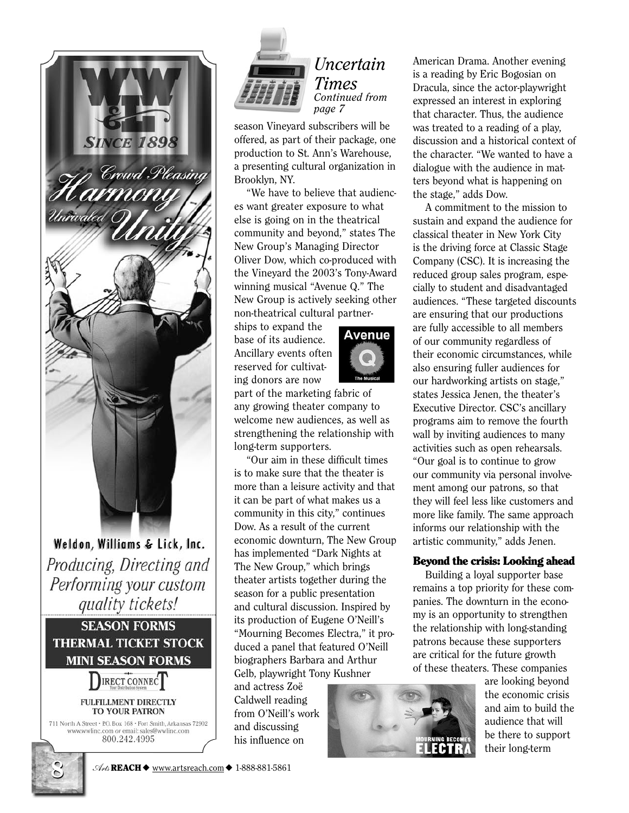

Weldon, Williams & Lick, Inc. Producing, Directing and Performing your custom quality tickets!

**SEASON FORMS THERMAL TICKET STOCK MINI SEASON FORMS** 



#### **FULFILLMENT DIRECTLY TO YOUR PATRON**

711 North A Street . P.O. Box 168 . Fort Smith, Arkansas 72902 www.wwlinc.com or email: sales@wwlinc.com 800.242.4995



### *Uncertain* **Times** Continued from page 7

season Vineyard subscribers will be offered, as part of their package, one production to St. Ann's Warehouse, a presenting cultural organization in Brooklyn, NY.

"We have to believe that audiences want greater exposure to what else is going on in the theatrical community and beyond," states The New Group's Managing Director Oliver Dow, which co-produced with the Vinevard the 2003's Tony-Award winning musical "Avenue Q." The New Group is actively seeking other non-theatrical cultural partner-

ships to expand the base of its audience. Ancillary events often reserved for cultivating donors are now



part of the marketing fabric of any growing theater company to welcome new audiences, as well as strengthening the relationship with long-term supporters.

"Our aim in these difficult times is to make sure that the theater is more than a leisure activity and that it can be part of what makes us a community in this city," continues Dow. As a result of the current economic downturn, The New Group has implemented "Dark Nights at The New Group," which brings theater artists together during the season for a public presentation and cultural discussion. Inspired by its production of Eugene O'Neill's "Mourning Becomes Electra," it produced a panel that featured O'Neill biographers Barbara and Arthur Gelb, playwright Tony Kushner

and actress Zoë Caldwell reading from O'Neill's work and discussing his influence on



American Drama. Another evening is a reading by Eric Bogosian on Dracula, since the actor-playwright expressed an interest in exploring that character. Thus, the audience was treated to a reading of a play, discussion and a historical context of the character. "We wanted to have a dialogue with the audience in matters beyond what is happening on the stage," adds Dow.

A commitment to the mission to sustain and expand the audience for classical theater in New York City is the driving force at Classic Stage Company (CSC). It is increasing the reduced group sales program, especially to student and disadvantaged audiences. "These targeted discounts are ensuring that our productions are fully accessible to all members of our community regardless of their economic circumstances, while also ensuring fuller audiences for our hardworking artists on stage," states Jessica Jenen, the theater's Executive Director. CSC's ancillary programs aim to remove the fourth wall by inviting audiences to many activities such as open rehearsals. "Our goal is to continue to grow" our community via personal involvement among our patrons, so that they will feel less like customers and more like family. The same approach informs our relationship with the artistic community," adds Jenen.

### **Beyond the crisis: Looking ahead**

Building a loyal supporter base remains a top priority for these companies. The downturn in the economy is an opportunity to strengthen the relationship with long-standing patrons because these supporters are critical for the future growth of these theaters. These companies

are looking beyond the economic crisis and aim to build the audience that will be there to support their long-term